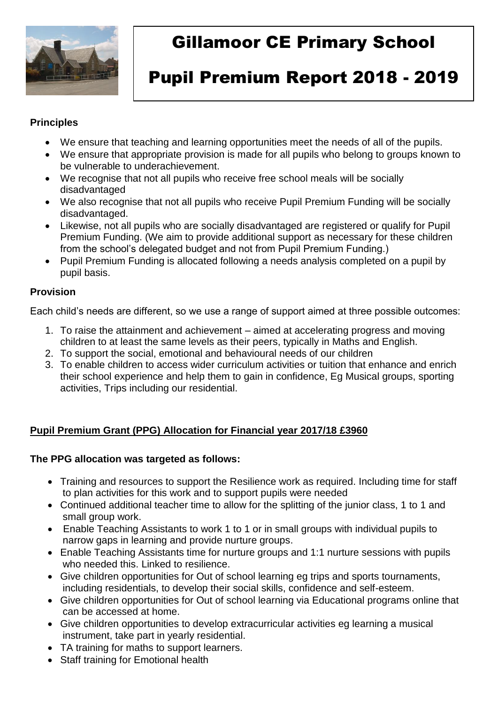

# Gillamoor CE Primary School

# Pupil Premium Report 2018 - 2019

#### **Principles**

- We ensure that teaching and learning opportunities meet the needs of all of the pupils.
- We ensure that appropriate provision is made for all pupils who belong to groups known to be vulnerable to underachievement.
- We recognise that not all pupils who receive free school meals will be socially disadvantaged
- We also recognise that not all pupils who receive Pupil Premium Funding will be socially disadvantaged.
- Likewise, not all pupils who are socially disadvantaged are registered or qualify for Pupil Premium Funding. (We aim to provide additional support as necessary for these children from the school's delegated budget and not from Pupil Premium Funding.)
- Pupil Premium Funding is allocated following a needs analysis completed on a pupil by pupil basis.

## **Provision**

Each child's needs are different, so we use a range of support aimed at three possible outcomes:

- 1. To raise the attainment and achievement aimed at accelerating progress and moving children to at least the same levels as their peers, typically in Maths and English.
- 2. To support the social, emotional and behavioural needs of our children
- 3. To enable children to access wider curriculum activities or tuition that enhance and enrich their school experience and help them to gain in confidence, Eg Musical groups, sporting activities, Trips including our residential.

# **Pupil Premium Grant (PPG) Allocation for Financial year 2017/18 £3960**

#### **The PPG allocation was targeted as follows:**

- Training and resources to support the Resilience work as required. Including time for staff to plan activities for this work and to support pupils were needed
- Continued additional teacher time to allow for the splitting of the junior class, 1 to 1 and small group work.
- Enable Teaching Assistants to work 1 to 1 or in small groups with individual pupils to narrow gaps in learning and provide nurture groups.
- Enable Teaching Assistants time for nurture groups and 1:1 nurture sessions with pupils who needed this. Linked to resilience
- Give children opportunities for Out of school learning eg trips and sports tournaments, including residentials, to develop their social skills, confidence and self-esteem.
- Give children opportunities for Out of school learning via Educational programs online that can be accessed at home.
- Give children opportunities to develop extracurricular activities eg learning a musical instrument, take part in yearly residential.
- TA training for maths to support learners.
- Staff training for Emotional health